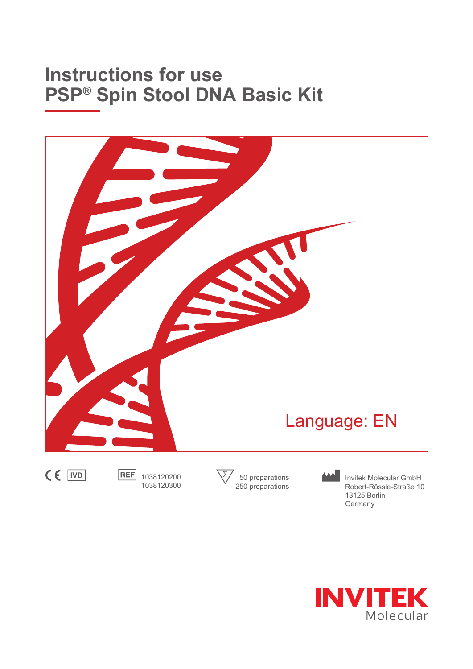# **Instructions for use PSP® Spin Stool DNA Basic Kit**



1038120200 1038120300

50 preparations 250 preparations

Invitek Molecular GmbH Robert-Rössle-Straße 10 13125 Berlin Germany

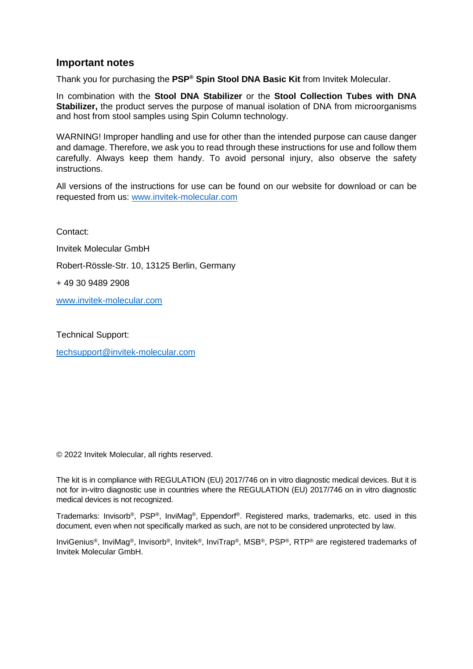### **Important notes**

Thank you for purchasing the **PSP® Spin Stool DNA Basic Kit** from Invitek Molecular.

In combination with the **Stool DNA Stabilizer** or the **Stool Collection Tubes with DNA Stabilizer,** the product serves the purpose of manual isolation of DNA from microorganisms and host from stool samples using Spin Column technology.

WARNING! Improper handling and use for other than the intended purpose can cause danger and damage. Therefore, we ask you to read through these instructions for use and follow them carefully. Always keep them handy. To avoid personal injury, also observe the safety instructions.

All versions of the instructions for use can be found on our website for download or can be requested from us: [www.invitek-molecular.com](http://www.invitek-molecular.com/)

Contact: Invitek Molecular GmbH Robert-Rössle-Str. 10, 13125 Berlin, Germany + 49 30 9489 2908 [www.invitek-molecular.com](http://www.invitek-molecular.com/)

Technical Support:

[techsupport@invitek-molecular.com](mailto:techsupport@invitek-molecular.com)

© 2022 Invitek Molecular, all rights reserved.

The kit is in compliance with REGULATION (EU) 2017/746 on in vitro diagnostic medical devices. But it is not for in-vitro diagnostic use in countries where the REGULATION (EU) 2017/746 on in vitro diagnostic medical devices is not recognized.

Trademarks: Invisorb®, PSP®, InviMag®, Eppendorf®. Registered marks, trademarks, etc. used in this document, even when not specifically marked as such, are not to be considered unprotected by law.

InviGenius®, InviMag®, Invisorb®, Invitek®, InviTrap®, MSB®, PSP®, RTP® are registered trademarks of Invitek Molecular GmbH.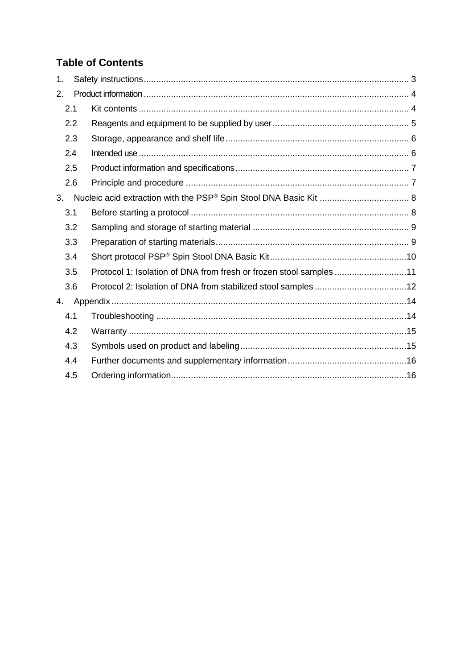# **Table of Contents**

| 1.  |                                                                    |  |
|-----|--------------------------------------------------------------------|--|
| 2.  |                                                                    |  |
| 2.1 |                                                                    |  |
| 2.2 |                                                                    |  |
| 2.3 |                                                                    |  |
| 2.4 |                                                                    |  |
| 2.5 |                                                                    |  |
| 2.6 |                                                                    |  |
| 3.  |                                                                    |  |
| 3.1 |                                                                    |  |
| 3.2 |                                                                    |  |
| 3.3 |                                                                    |  |
| 3.4 |                                                                    |  |
| 3.5 | Protocol 1: Isolation of DNA from fresh or frozen stool samples 11 |  |
| 3.6 |                                                                    |  |
| 4.  |                                                                    |  |
| 4.1 |                                                                    |  |
| 4.2 |                                                                    |  |
| 4.3 |                                                                    |  |
| 4.4 |                                                                    |  |
| 4.5 |                                                                    |  |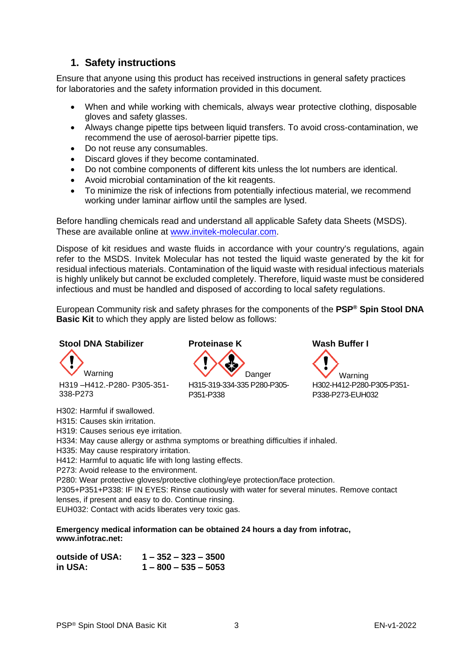## <span id="page-3-0"></span>**1. Safety instructions**

Ensure that anyone using this product has received instructions in general safety practices for laboratories and the safety information provided in this document.

- When and while working with chemicals, always wear protective clothing, disposable gloves and safety glasses.
- Always change pipette tips between liquid transfers. To avoid cross-contamination, we recommend the use of aerosol-barrier pipette tips.
- Do not reuse any consumables.
- Discard gloves if they become contaminated.
- Do not combine components of different kits unless the lot numbers are identical.
- Avoid microbial contamination of the kit reagents.
- To minimize the risk of infections from potentially infectious material, we recommend working under laminar airflow until the samples are lysed.

Before handling chemicals read and understand all applicable Safety data Sheets (MSDS). These are available online at [www.invitek-molecular.com.](http://www.invitek-molecular.com/)

Dispose of kit residues and waste fluids in accordance with your country's regulations, again refer to the MSDS. Invitek Molecular has not tested the liquid waste generated by the kit for residual infectious materials. Contamination of the liquid waste with residual infectious materials is highly unlikely but cannot be excluded completely. Therefore, liquid waste must be considered infectious and must be handled and disposed of according to local safety regulations.

European Community risk and safety phrases for the components of the **PSP® Spin Stool DNA Basic Kit** to which they apply are listed below as follows:

### **Stool DNA Stabilizer Proteinase K Wash Buffer I**

Warning Warning **WARD** Danger Warning H319 –H412.-P280- P305-351- 338-P273

H315-319-334-335 P280-P305- P351-P338

H302-H412-P280-P305-P351- P338-P273-EUH032

H302: Harmful if swallowed.

H315: Causes skin irritation.

H319: Causes serious eye irritation.

H334: May cause allergy or asthma symptoms or breathing difficulties if inhaled.

H335: May cause respiratory irritation.

H412: Harmful to aquatic life with long lasting effects.

P273: Avoid release to the environment.

P280: Wear protective gloves/protective clothing/eye protection/face protection.

P305+P351+P338: IF IN EYES: Rinse cautiously with water for several minutes. Remove contact lenses, if present and easy to do. Continue rinsing.

EUH032: Contact with acids liberates very toxic gas.

**Emergency medical information can be obtained 24 hours a day from infotrac, www.infotrac.net:**

| outside of USA: | $1 - 352 - 323 - 3500$ |
|-----------------|------------------------|
| in USA:         | $1 - 800 - 535 - 5053$ |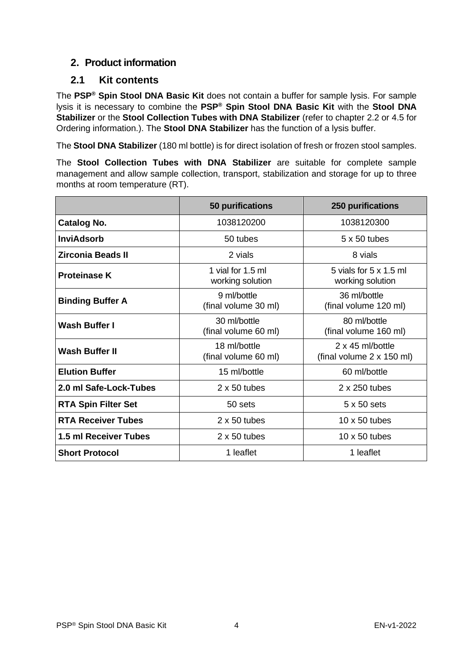# <span id="page-4-0"></span>**2. Product information**

### <span id="page-4-1"></span>**2.1 Kit contents**

The **PSP® Spin Stool DNA Basic Kit** does not contain a buffer for sample lysis. For sample lysis it is necessary to combine the **PSP® Spin Stool DNA Basic Kit** with the **Stool DNA Stabilizer** or the **Stool Collection Tubes with DNA Stabilizer** (refer to chapter 2.2 or 4.5 for Ordering information.). The **Stool DNA Stabilizer** has the function of a lysis buffer.

The **Stool DNA Stabilizer** (180 ml bottle) is for direct isolation of fresh or frozen stool samples.

The **Stool Collection Tubes with DNA Stabilizer** are suitable for complete sample management and allow sample collection, transport, stabilization and storage for up to three months at room temperature (RT).

|                            | 50 purifications                      | <b>250 purifications</b>                      |
|----------------------------|---------------------------------------|-----------------------------------------------|
| <b>Catalog No.</b>         | 1038120200                            | 1038120300                                    |
| <b>InviAdsorb</b>          | 50 tubes                              | $5 \times 50$ tubes                           |
| <b>Zirconia Beads II</b>   | 2 vials                               | 8 vials                                       |
| <b>Proteinase K</b>        | 1 vial for 1.5 ml<br>working solution | 5 yials for 5 x 1.5 ml<br>working solution    |
| <b>Binding Buffer A</b>    | 9 ml/bottle<br>(final volume 30 ml)   | 36 ml/bottle<br>(final volume 120 ml)         |
| <b>Wash Buffer I</b>       | 30 ml/bottle<br>(final volume 60 ml)  | 80 ml/bottle<br>(final volume 160 ml)         |
| <b>Wash Buffer II</b>      | 18 ml/bottle<br>(final volume 60 ml)  | 2 x 45 ml/bottle<br>(final volume 2 x 150 ml) |
| <b>Elution Buffer</b>      | 15 ml/bottle                          | 60 ml/bottle                                  |
| 2.0 ml Safe-Lock-Tubes     | $2 \times 50$ tubes                   | 2 x 250 tubes                                 |
| <b>RTA Spin Filter Set</b> | 50 sets                               | $5 \times 50$ sets                            |
| <b>RTA Receiver Tubes</b>  | $2 \times 50$ tubes                   | 10 $\times$ 50 tubes                          |
| 1.5 ml Receiver Tubes      | $2 \times 50$ tubes                   | 10 $\times$ 50 tubes                          |
| <b>Short Protocol</b>      | 1 leaflet                             | 1 leaflet                                     |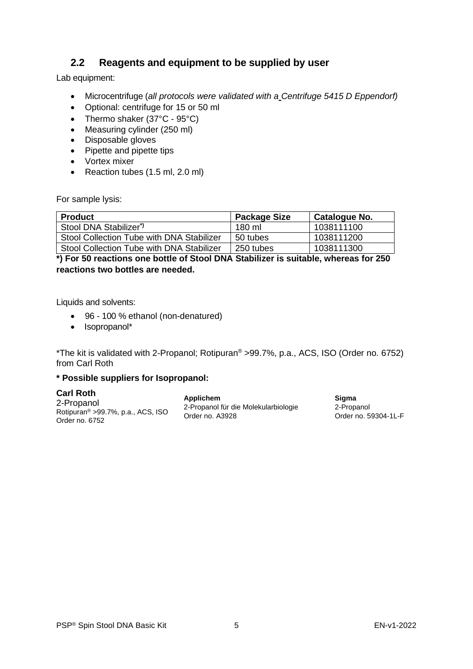# <span id="page-5-0"></span>**2.2 Reagents and equipment to be supplied by user**

Lab equipment:

- Microcentrifuge (*all protocols were validated with a Centrifuge 5415 D Eppendorf)*
- Optional: centrifuge for 15 or 50 ml
- Thermo shaker (37°C 95°C)
- Measuring cylinder (250 ml)
- Disposable gloves
- Pipette and pipette tips
- Vortex mixer
- Reaction tubes (1.5 ml, 2.0 ml)

For sample lysis:

| <b>Product</b>                            | <b>Package Size</b> | Catalogue No. |
|-------------------------------------------|---------------------|---------------|
| Stool DNA Stabilizer <sup>*</sup>         | 180 ml              | 1038111100    |
| Stool Collection Tube with DNA Stabilizer | 50 tubes            | 1038111200    |
| Stool Collection Tube with DNA Stabilizer | 250 tubes           | 1038111300    |

**\*) For 50 reactions one bottle of Stool DNA Stabilizer is suitable, whereas for 250 reactions two bottles are needed.**

Liquids and solvents:

- 96 100 % ethanol (non-denatured)
- Isopropanol\*

\*The kit is validated with 2-Propanol; Rotipuran® >99.7%, p.a., ACS, ISO (Order no. 6752) from Carl Roth

### **\* Possible suppliers for Isopropanol:**

| <b>Carl Roth</b>                               | Applichem                            | Siama                |
|------------------------------------------------|--------------------------------------|----------------------|
| 2-Propanol                                     | 2-Propanol für die Molekularbiologie | 2-Propanol           |
| Rotipuran <sup>®</sup> > 99.7%, p.a., ACS, ISO | Order no. A3928                      | Order no. 59304-1L-F |
| Order no. 6752                                 |                                      |                      |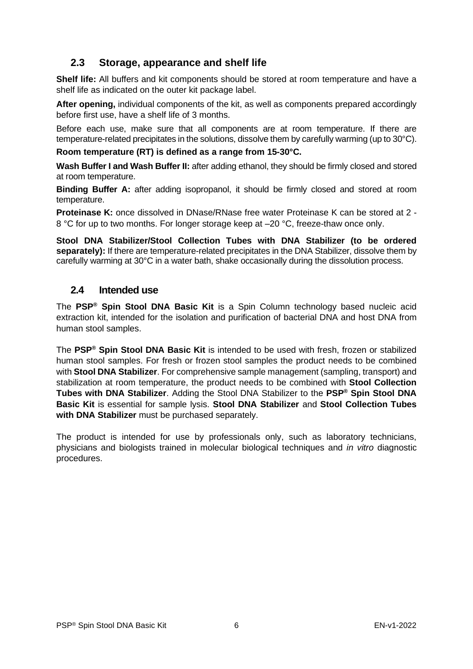# <span id="page-6-0"></span>**2.3 Storage, appearance and shelf life**

**Shelf life:** All buffers and kit components should be stored at room temperature and have a shelf life as indicated on the outer kit package label.

**After opening,** individual components of the kit, as well as components prepared accordingly before first use, have a shelf life of 3 months.

Before each use, make sure that all components are at room temperature. If there are temperature-related precipitates in the solutions, dissolve them by carefully warming (up to 30°C).

**Room temperature (RT) is defined as a range from 15-30°C.**

**Wash Buffer I and Wash Buffer II:** after adding ethanol, they should be firmly closed and stored at room temperature.

**Binding Buffer A:** after adding isopropanol, it should be firmly closed and stored at room temperature.

**Proteinase K:** once dissolved in DNase/RNase free water Proteinase K can be stored at 2 - 8 °C for up to two months. For longer storage keep at –20 °C, freeze-thaw once only.

**Stool DNA Stabilizer/Stool Collection Tubes with DNA Stabilizer (to be ordered separately):** If there are temperature-related precipitates in the DNA Stabilizer, dissolve them by carefully warming at 30°C in a water bath, shake occasionally during the dissolution process.

### <span id="page-6-1"></span>**2.4 Intended use**

The **PSP® Spin Stool DNA Basic Kit** is a Spin Column technology based nucleic acid extraction kit, intended for the isolation and purification of bacterial DNA and host DNA from human stool samples.

The **PSP® Spin Stool DNA Basic Kit** is intended to be used with fresh, frozen or stabilized human stool samples. For fresh or frozen stool samples the product needs to be combined with **Stool DNA Stabilizer**. For comprehensive sample management (sampling, transport) and stabilization at room temperature, the product needs to be combined with **Stool Collection Tubes with DNA Stabilizer**. Adding the Stool DNA Stabilizer to the **PSP® Spin Stool DNA Basic Kit** is essential for sample lysis. **Stool DNA Stabilizer** and **Stool Collection Tubes with DNA Stabilizer** must be purchased separately.

The product is intended for use by professionals only, such as laboratory technicians, physicians and biologists trained in molecular biological techniques and *in vitro* diagnostic procedures.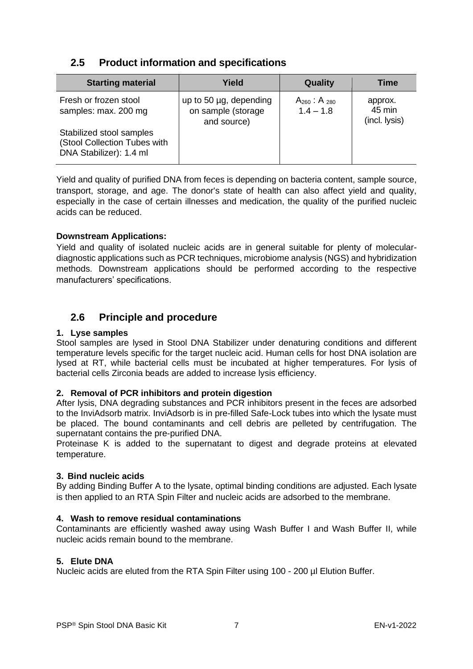# <span id="page-7-0"></span>**2.5 Product information and specifications**

| <b>Starting material</b>                                                            | Yield                                                       | Quality                               | <b>Time</b>                        |
|-------------------------------------------------------------------------------------|-------------------------------------------------------------|---------------------------------------|------------------------------------|
| Fresh or frozen stool<br>samples: max. 200 mg                                       | up to 50 µg, depending<br>on sample (storage<br>and source) | $A_{260}$ : A $_{280}$<br>$1.4 - 1.8$ | approx.<br>45 min<br>(incl. lysis) |
| Stabilized stool samples<br>(Stool Collection Tubes with<br>DNA Stabilizer): 1.4 ml |                                                             |                                       |                                    |

Yield and quality of purified DNA from feces is depending on bacteria content, sample source, transport, storage, and age. The donor's state of health can also affect yield and quality, especially in the case of certain illnesses and medication, the quality of the purified nucleic acids can be reduced.

### **Downstream Applications:**

Yield and quality of isolated nucleic acids are in general suitable for plenty of moleculardiagnostic applications such as PCR techniques, microbiome analysis (NGS) and hybridization methods. Downstream applications should be performed according to the respective manufacturers' specifications.

# <span id="page-7-1"></span>**2.6 Principle and procedure**

### **1. Lyse samples**

Stool samples are lysed in Stool DNA Stabilizer under denaturing conditions and different temperature levels specific for the target nucleic acid. Human cells for host DNA isolation are lysed at RT, while bacterial cells must be incubated at higher temperatures. For lysis of bacterial cells Zirconia beads are added to increase lysis efficiency.

### **2. Removal of PCR inhibitors and protein digestion**

After lysis, DNA degrading substances and PCR inhibitors present in the feces are adsorbed to the InviAdsorb matrix. InviAdsorb is in pre-filled Safe-Lock tubes into which the lysate must be placed. The bound contaminants and cell debris are pelleted by centrifugation. The supernatant contains the pre-purified DNA.

Proteinase K is added to the supernatant to digest and degrade proteins at elevated temperature.

### **3. Bind nucleic acids**

By adding Binding Buffer A to the lysate, optimal binding conditions are adjusted. Each lysate is then applied to an RTA Spin Filter and nucleic acids are adsorbed to the membrane.

### **4. Wash to remove residual contaminations**

Contaminants are efficiently washed away using Wash Buffer I and Wash Buffer II, while nucleic acids remain bound to the membrane.

### **5. Elute DNA**

Nucleic acids are eluted from the RTA Spin Filter using 100 - 200 µl Elution Buffer.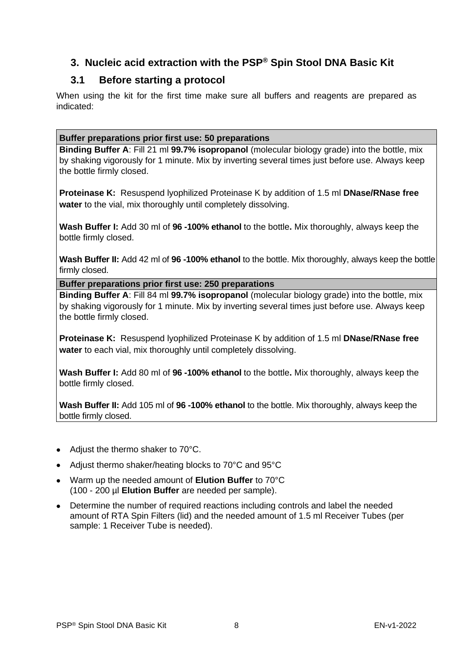# <span id="page-8-0"></span>**3. Nucleic acid extraction with the PSP® Spin Stool DNA Basic Kit**

# **3.1 Before starting a protocol**

<span id="page-8-1"></span>When using the kit for the first time make sure all buffers and reagents are prepared as indicated:

### **Buffer preparations prior first use: 50 preparations**

**Binding Buffer A**: Fill 21 ml **99.7% isopropanol** (molecular biology grade) into the bottle, mix by shaking vigorously for 1 minute. Mix by inverting several times just before use. Always keep the bottle firmly closed.

**Proteinase K:** Resuspend lyophilized Proteinase K by addition of 1.5 ml **DNase/RNase free water** to the vial, mix thoroughly until completely dissolving.

**Wash Buffer I:** Add 30 ml of **96 -100% ethanol** to the bottle**.** Mix thoroughly, always keep the bottle firmly closed.

**Wash Buffer II:** Add 42 ml of **96 -100% ethanol** to the bottle. Mix thoroughly, always keep the bottle firmly closed.

**Buffer preparations prior first use: 250 preparations**

**Binding Buffer A**: Fill 84 ml **99.7% isopropanol** (molecular biology grade) into the bottle, mix by shaking vigorously for 1 minute. Mix by inverting several times just before use. Always keep the bottle firmly closed.

**Proteinase K:** Resuspend lyophilized Proteinase K by addition of 1.5 ml **DNase/RNase free water** to each vial, mix thoroughly until completely dissolving.

**Wash Buffer I:** Add 80 ml of **96 -100% ethanol** to the bottle**.** Mix thoroughly, always keep the bottle firmly closed.

**Wash Buffer II:** Add 105 ml of **96 -100% ethanol** to the bottle. Mix thoroughly, always keep the bottle firmly closed.

- Adjust the thermo shaker to 70°C.
- Adjust thermo shaker/heating blocks to 70°C and 95°C
- Warm up the needed amount of **Elution Buffer** to 70°C (100 - 200 µl **Elution Buffer** are needed per sample).
- Determine the number of required reactions including controls and label the needed amount of RTA Spin Filters (lid) and the needed amount of 1.5 ml Receiver Tubes (per sample: 1 Receiver Tube is needed).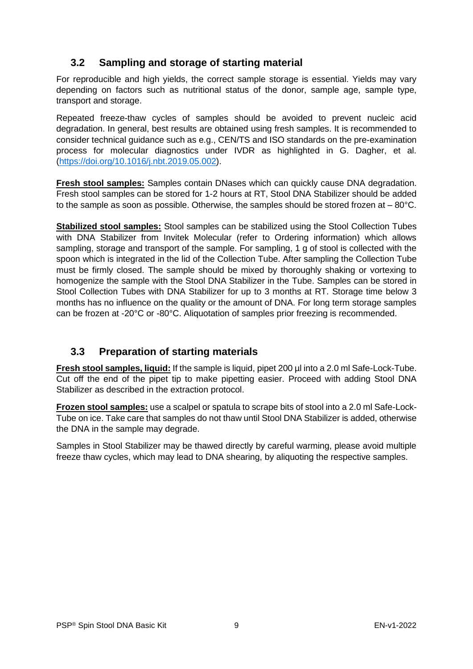# <span id="page-9-0"></span>**3.2 Sampling and storage of starting material**

For reproducible and high yields, the correct sample storage is essential. Yields may vary depending on factors such as nutritional status of the donor, sample age, sample type, transport and storage.

Repeated freeze-thaw cycles of samples should be avoided to prevent nucleic acid degradation. In general, best results are obtained using fresh samples. It is recommended to consider technical guidance such as e.g., CEN/TS and ISO standards on the pre-examination process for molecular diagnostics under IVDR as highlighted in G. Dagher, et al. [\(https://doi.org/10.1016/j.nbt.2019.05.002\)](https://doi.org/10.1016/j.nbt.2019.05.002).

**Fresh stool samples:** Samples contain DNases which can quickly cause DNA degradation. Fresh stool samples can be stored for 1-2 hours at RT, Stool DNA Stabilizer should be added to the sample as soon as possible. Otherwise, the samples should be stored frozen at  $-80^{\circ}$ C.

**Stabilized stool samples:** Stool samples can be stabilized using the Stool Collection Tubes with DNA Stabilizer from Invitek Molecular (refer to Ordering information) which allows sampling, storage and transport of the sample. For sampling, 1 g of stool is collected with the spoon which is integrated in the lid of the Collection Tube. After sampling the Collection Tube must be firmly closed. The sample should be mixed by thoroughly shaking or vortexing to homogenize the sample with the Stool DNA Stabilizer in the Tube. Samples can be stored in Stool Collection Tubes with DNA Stabilizer for up to 3 months at RT. Storage time below 3 months has no influence on the quality or the amount of DNA. For long term storage samples can be frozen at -20°C or -80°C. Aliquotation of samples prior freezing is recommended.

# <span id="page-9-1"></span>**3.3 Preparation of starting materials**

**Fresh stool samples, liquid:** If the sample is liquid, pipet 200 µl into a 2.0 ml Safe-Lock-Tube. Cut off the end of the pipet tip to make pipetting easier. Proceed with adding Stool DNA Stabilizer as described in the extraction protocol.

**Frozen stool samples:** use a scalpel or spatula to scrape bits of stool into a 2.0 ml Safe-Lock-Tube on ice. Take care that samples do not thaw until Stool DNA Stabilizer is added, otherwise the DNA in the sample may degrade.

Samples in Stool Stabilizer may be thawed directly by careful warming, please avoid multiple freeze thaw cycles, which may lead to DNA shearing, by aliquoting the respective samples.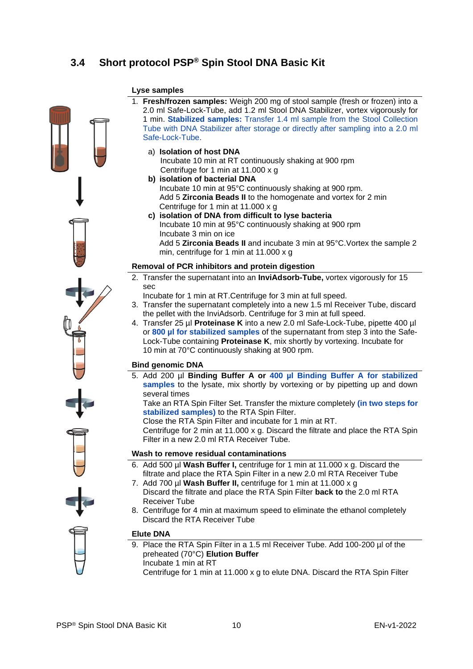# <span id="page-10-0"></span>**3.4 Short protocol PSP® Spin Stool DNA Basic Kit**

### **Lyse samples** 1. **Fresh/frozen samples:** Weigh 200 mg of stool sample (fresh or frozen) into a 2.0 ml Safe-Lock-Tube, add 1.2 ml Stool DNA Stabilizer, vortex vigorously for 1 min. **Stabilized samples:** Transfer 1.4 ml sample from the Stool Collection Tube with DNA Stabilizer after storage or directly after sampling into a 2.0 ml Safe-Lock-Tube. a) **Isolation of host DNA** Incubate 10 min at RT continuously shaking at 900 rpm Centrifuge for 1 min at 11.000 x g **b) isolation of bacterial DNA**  Incubate 10 min at 95°C continuously shaking at 900 rpm. Add 5 **Zirconia Beads II** to the homogenate and vortex for 2 min Centrifuge for 1 min at 11.000 x g **c) isolation of DNA from difficult to lyse bacteria** Incubate 10 min at 95°C continuously shaking at 900 rpm Incubate 3 min on ice Add 5 **Zirconia Beads II** and incubate 3 min at 95°C.Vortex the sample 2 min, centrifuge for 1 min at 11.000 x g **Removal of PCR inhibitors and protein digestion** 2. Transfer the supernatant into an **InviAdsorb-Tube,** vortex vigorously for 15 sec Incubate for 1 min at RT.Centrifuge for 3 min at full speed. 3. Transfer the supernatant completely into a new 1.5 ml Receiver Tube, discard the pellet with the InviAdsorb. Centrifuge for 3 min at full speed. 4. Transfer 25 µl **Proteinase K** into a new 2.0 ml Safe-Lock-Tube, pipette 400 µl or **800 µl for stabilized samples** of the supernatant from step 3 into the Safe-Lock-Tube containing **Proteinase K**, mix shortly by vortexing. Incubate for 10 min at 70°C continuously shaking at 900 rpm.

### **Bind genomic DNA**

5. Add 200 µl **Binding Buffer A or 400 µl Binding Buffer A for stabilized**  samples to the lysate, mix shortly by vortexing or by pipetting up and down several times

Take an RTA Spin Filter Set. Transfer the mixture completely **(in two steps for stabilized samples)** to the RTA Spin Filter.

Close the RTA Spin Filter and incubate for 1 min at RT.

Centrifuge for 2 min at 11.000 x g. Discard the filtrate and place the RTA Spin Filter in a new 2.0 ml RTA Receiver Tube.

#### **Wash to remove residual contaminations**

- 6. Add 500 µl **Wash Buffer I,** centrifuge for 1 min at 11.000 x g. Discard the filtrate and place the RTA Spin Filter in a new 2.0 ml RTA Receiver Tube
- 7. Add 700 µl **Wash Buffer II,** centrifuge for 1 min at 11.000 x g Discard the filtrate and place the RTA Spin Filter **back to** the 2.0 ml RTA Receiver Tube
- 8. Centrifuge for 4 min at maximum speed to eliminate the ethanol completely Discard the RTA Receiver Tube

### **Elute DNA**

- 9. Place the RTA Spin Filter in a 1.5 ml Receiver Tube. Add 100-200 µl of the preheated (70°C) **Elution Buffer** Incubate 1 min at RT
	- Centrifuge for 1 min at 11.000 x g to elute DNA. Discard the RTA Spin Filter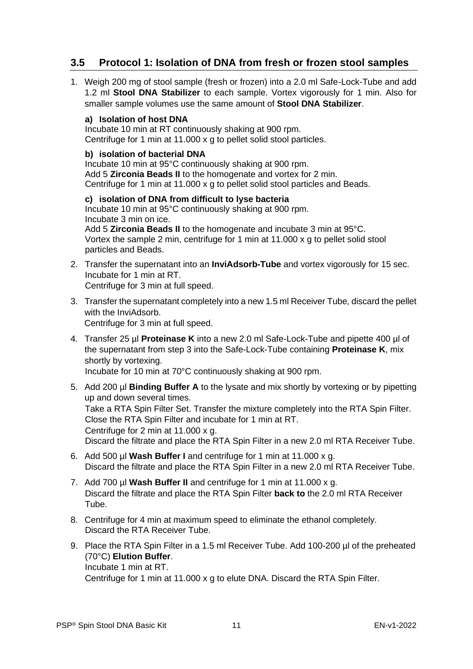# <span id="page-11-0"></span>**3.5 Protocol 1: Isolation of DNA from fresh or frozen stool samples**

1. Weigh 200 mg of stool sample (fresh or frozen) into a 2.0 ml Safe-Lock-Tube and add 1.2 ml **Stool DNA Stabilizer** to each sample. Vortex vigorously for 1 min. Also for smaller sample volumes use the same amount of **Stool DNA Stabilizer**.

### **a) Isolation of host DNA**

Incubate 10 min at RT continuously shaking at 900 rpm. Centrifuge for 1 min at 11.000 x g to pellet solid stool particles.

### **b) isolation of bacterial DNA**

Incubate 10 min at 95°C continuously shaking at 900 rpm. Add 5 **Zirconia Beads II** to the homogenate and vortex for 2 min. Centrifuge for 1 min at 11.000 x g to pellet solid stool particles and Beads.

**c) isolation of DNA from difficult to lyse bacteria** Incubate 10 min at 95°C continuously shaking at 900 rpm. Incubate 3 min on ice. Add 5 **Zirconia Beads II** to the homogenate and incubate 3 min at 95°C. Vortex the sample 2 min, centrifuge for 1 min at 11.000 x g to pellet solid stool particles and Beads.

2. Transfer the supernatant into an **InviAdsorb-Tube** and vortex vigorously for 15 sec. Incubate for 1 min at RT. Centrifuge for 3 min at full speed.

3. Transfer the supernatant completely into a new 1.5 ml Receiver Tube, discard the pellet with the InviAdsorb.

Centrifuge for 3 min at full speed.

4. Transfer 25 µl **Proteinase K** into a new 2.0 ml Safe-Lock-Tube and pipette 400 µl of the supernatant from step 3 into the Safe-Lock-Tube containing **Proteinase K**, mix shortly by vortexing.

Incubate for 10 min at 70°C continuously shaking at 900 rpm.

- 5. Add 200 µl **Binding Buffer A** to the lysate and mix shortly by vortexing or by pipetting up and down several times. Take a RTA Spin Filter Set. Transfer the mixture completely into the RTA Spin Filter. Close the RTA Spin Filter and incubate for 1 min at RT. Centrifuge for 2 min at 11.000 x g. Discard the filtrate and place the RTA Spin Filter in a new 2.0 ml RTA Receiver Tube.
- 6. Add 500 µl **Wash Buffer I** and centrifuge for 1 min at 11.000 x g. Discard the filtrate and place the RTA Spin Filter in a new 2.0 ml RTA Receiver Tube.
- 7. Add 700 µl **Wash Buffer II** and centrifuge for 1 min at 11.000 x g. Discard the filtrate and place the RTA Spin Filter **back to** the 2.0 ml RTA Receiver Tube.
- 8. Centrifuge for 4 min at maximum speed to eliminate the ethanol completely. Discard the RTA Receiver Tube.
- 9. Place the RTA Spin Filter in a 1.5 ml Receiver Tube. Add 100-200 µl of the preheated (70°C) **Elution Buffer**. Incubate 1 min at RT.

Centrifuge for 1 min at 11.000 x g to elute DNA. Discard the RTA Spin Filter.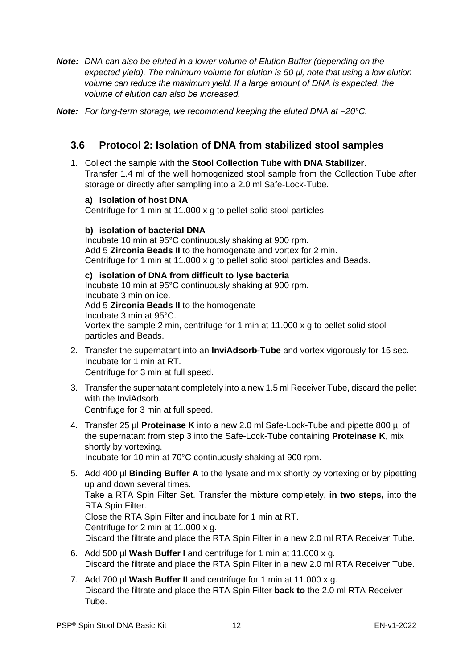- *Note: DNA can also be eluted in a lower volume of Elution Buffer (depending on the expected yield). The minimum volume for elution is 50 µl, note that using a low elution volume can reduce the maximum yield. If a large amount of DNA is expected, the volume of elution can also be increased.*
- *Note: For long-term storage, we recommend keeping the eluted DNA at –20°C.*

## <span id="page-12-0"></span>**3.6 Protocol 2: Isolation of DNA from stabilized stool samples**

1. Collect the sample with the **Stool Collection Tube with DNA Stabilizer.**  Transfer 1.4 ml of the well homogenized stool sample from the Collection Tube after storage or directly after sampling into a 2.0 ml Safe-Lock-Tube.

### **a) Isolation of host DNA**

Centrifuge for 1 min at 11.000 x g to pellet solid stool particles.

### **b) isolation of bacterial DNA**

Incubate 10 min at 95°C continuously shaking at 900 rpm. Add 5 **Zirconia Beads II** to the homogenate and vortex for 2 min. Centrifuge for 1 min at 11.000 x g to pellet solid stool particles and Beads.

### **c) isolation of DNA from difficult to lyse bacteria**

Incubate 10 min at 95°C continuously shaking at 900 rpm. Incubate 3 min on ice. Add 5 **Zirconia Beads II** to the homogenate Incubate 3 min at 95°C.

Vortex the sample 2 min, centrifuge for 1 min at 11.000 x g to pellet solid stool particles and Beads.

- 2. Transfer the supernatant into an **InviAdsorb-Tube** and vortex vigorously for 15 sec. Incubate for 1 min at RT. Centrifuge for 3 min at full speed.
- 3. Transfer the supernatant completely into a new 1.5 ml Receiver Tube, discard the pellet with the InviAdsorb.

Centrifuge for 3 min at full speed.

- 4. Transfer 25 µl **Proteinase K** into a new 2.0 ml Safe-Lock-Tube and pipette 800 µl of the supernatant from step 3 into the Safe-Lock-Tube containing **Proteinase K**, mix shortly by vortexing. Incubate for 10 min at 70°C continuously shaking at 900 rpm.
- 5. Add 400 µl **Binding Buffer A** to the lysate and mix shortly by vortexing or by pipetting up and down several times. Take a RTA Spin Filter Set. Transfer the mixture completely, **in two steps,** into the RTA Spin Filter. Close the RTA Spin Filter and incubate for 1 min at RT. Centrifuge for 2 min at 11.000 x g. Discard the filtrate and place the RTA Spin Filter in a new 2.0 ml RTA Receiver Tube.
- 6. Add 500 µl **Wash Buffer I** and centrifuge for 1 min at 11.000 x g. Discard the filtrate and place the RTA Spin Filter in a new 2.0 ml RTA Receiver Tube.
- 7. Add 700 µl **Wash Buffer II** and centrifuge for 1 min at 11.000 x g. Discard the filtrate and place the RTA Spin Filter **back to** the 2.0 ml RTA Receiver Tube.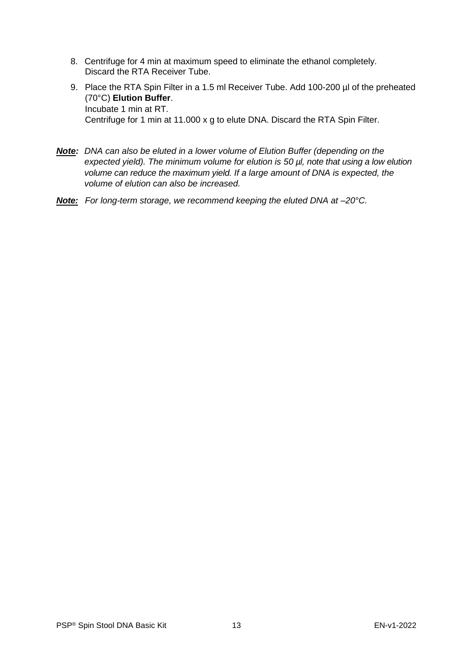- 8. Centrifuge for 4 min at maximum speed to eliminate the ethanol completely. Discard the RTA Receiver Tube.
- 9. Place the RTA Spin Filter in a 1.5 ml Receiver Tube. Add 100-200 µl of the preheated (70°C) **Elution Buffer**. Incubate 1 min at RT. Centrifuge for 1 min at 11.000 x g to elute DNA. Discard the RTA Spin Filter.
- *Note: DNA can also be eluted in a lower volume of Elution Buffer (depending on the expected yield). The minimum volume for elution is 50 µl, note that using a low elution volume can reduce the maximum yield. If a large amount of DNA is expected, the volume of elution can also be increased.*
- *Note: For long-term storage, we recommend keeping the eluted DNA at –20°C.*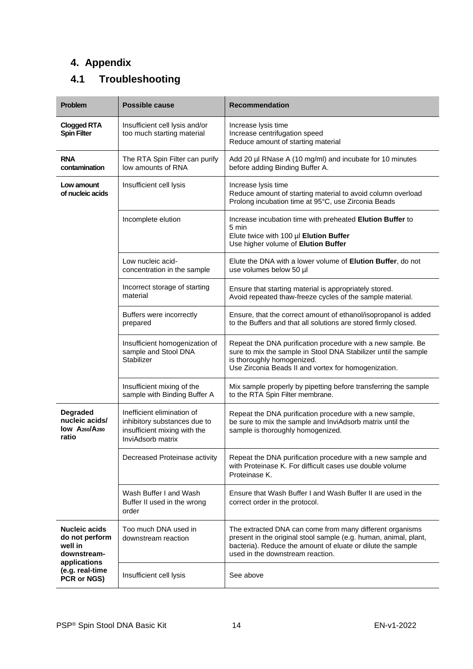# <span id="page-14-0"></span>**4. Appendix**

# <span id="page-14-1"></span>**4.1 Troubleshooting**

| <b>Problem</b>                                                                   | <b>Possible cause</b>                                                                                           | <b>Recommendation</b>                                                                                                                                                                                                           |
|----------------------------------------------------------------------------------|-----------------------------------------------------------------------------------------------------------------|---------------------------------------------------------------------------------------------------------------------------------------------------------------------------------------------------------------------------------|
| <b>Clogged RTA</b><br><b>Spin Filter</b>                                         | Insufficient cell lysis and/or<br>too much starting material                                                    | Increase lysis time<br>Increase centrifugation speed<br>Reduce amount of starting material                                                                                                                                      |
| <b>RNA</b><br>contamination                                                      | The RTA Spin Filter can purify<br>low amounts of RNA                                                            | Add 20 µl RNase A (10 mg/ml) and incubate for 10 minutes<br>before adding Binding Buffer A.                                                                                                                                     |
| Insufficient cell lysis<br>Increase lysis time<br>Low amount<br>of nucleic acids |                                                                                                                 | Reduce amount of starting material to avoid column overload<br>Prolong incubation time at 95°C, use Zirconia Beads                                                                                                              |
|                                                                                  | Incomplete elution                                                                                              | Increase incubation time with preheated Elution Buffer to<br>5 min<br>Elute twice with 100 µl Elution Buffer<br>Use higher volume of Elution Buffer                                                                             |
|                                                                                  | Low nucleic acid-<br>concentration in the sample                                                                | Elute the DNA with a lower volume of <b>Elution Buffer</b> , do not<br>use volumes below 50 µl                                                                                                                                  |
|                                                                                  | Incorrect storage of starting<br>material                                                                       | Ensure that starting material is appropriately stored.<br>Avoid repeated thaw-freeze cycles of the sample material.                                                                                                             |
|                                                                                  | Buffers were incorrectly<br>prepared                                                                            | Ensure, that the correct amount of ethanol/isopropanol is added<br>to the Buffers and that all solutions are stored firmly closed.                                                                                              |
|                                                                                  | Insufficient homogenization of<br>sample and Stool DNA<br>Stabilizer                                            | Repeat the DNA purification procedure with a new sample. Be<br>sure to mix the sample in Stool DNA Stabilizer until the sample<br>is thoroughly homogenized.<br>Use Zirconia Beads II and vortex for homogenization.            |
|                                                                                  | Insufficient mixing of the<br>sample with Binding Buffer A                                                      | Mix sample properly by pipetting before transferring the sample<br>to the RTA Spin Filter membrane.                                                                                                                             |
| <b>Degraded</b><br>nucleic acids/<br>$low$ $A_{260}/A_{280}$<br>ratio            | Inefficient elimination of<br>inhibitory substances due to<br>insufficient mixing with the<br>InviAdsorb matrix | Repeat the DNA purification procedure with a new sample,<br>be sure to mix the sample and InviAdsorb matrix until the<br>sample is thoroughly homogenized.                                                                      |
|                                                                                  | Decreased Proteinase activity                                                                                   | Repeat the DNA purification procedure with a new sample and<br>with Proteinase K. For difficult cases use double volume<br>Proteinase K.                                                                                        |
|                                                                                  | Wash Buffer I and Wash<br>Buffer II used in the wrong<br>order                                                  | Ensure that Wash Buffer I and Wash Buffer II are used in the<br>correct order in the protocol.                                                                                                                                  |
| <b>Nucleic acids</b><br>do not perform<br>well in<br>downstream-                 | Too much DNA used in<br>downstream reaction                                                                     | The extracted DNA can come from many different organisms<br>present in the original stool sample (e.g. human, animal, plant,<br>bacteria). Reduce the amount of eluate or dilute the sample<br>used in the downstream reaction. |
| applications<br>(e.g. real-time<br>PCR or NGS)                                   | Insufficient cell lysis                                                                                         | See above                                                                                                                                                                                                                       |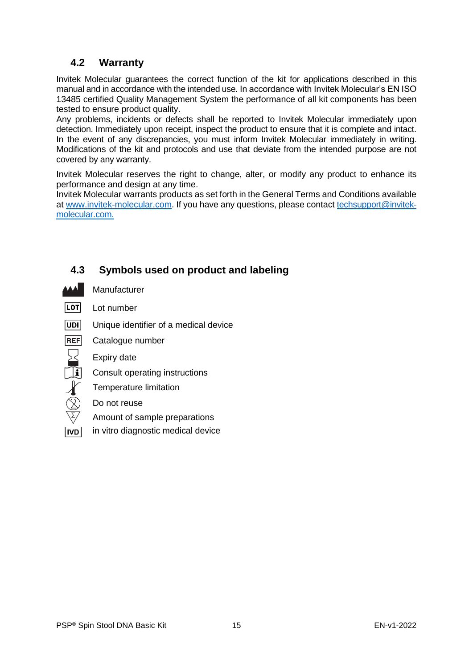# <span id="page-15-0"></span>**4.2 Warranty**

Invitek Molecular guarantees the correct function of the kit for applications described in this manual and in accordance with the intended use. In accordance with Invitek Molecular's EN ISO 13485 certified Quality Management System the performance of all kit components has been tested to ensure product quality.

Any problems, incidents or defects shall be reported to Invitek Molecular immediately upon detection. Immediately upon receipt, inspect the product to ensure that it is complete and intact. In the event of any discrepancies, you must inform Invitek Molecular immediately in writing. Modifications of the kit and protocols and use that deviate from the intended purpose are not covered by any warranty.

Invitek Molecular reserves the right to change, alter, or modify any product to enhance its performance and design at any time.

Invitek Molecular warrants products as set forth in the General Terms and Conditions available a[t www.invitek-molecular.com.](http://www.invitek-molecular.com/) If you have any questions, please contact [techsupport@invitek](mailto:techsupport@invitek-molecular.com)[molecular.com.](mailto:techsupport@invitek-molecular.com)

# <span id="page-15-1"></span>**4.3 Symbols used on product and labeling**

- Manufacturer
- **LOT** Lot number
- $|UDI|$ Unique identifier of a medical device
- **REF** Catalogue number
	- Expiry date
- $\overline{\textbf{F}}$ Consult operating instructions
	- Temperature limitation
	- Do not reuse
	- Amount of sample preparations
- **IVD** in vitro diagnostic medical device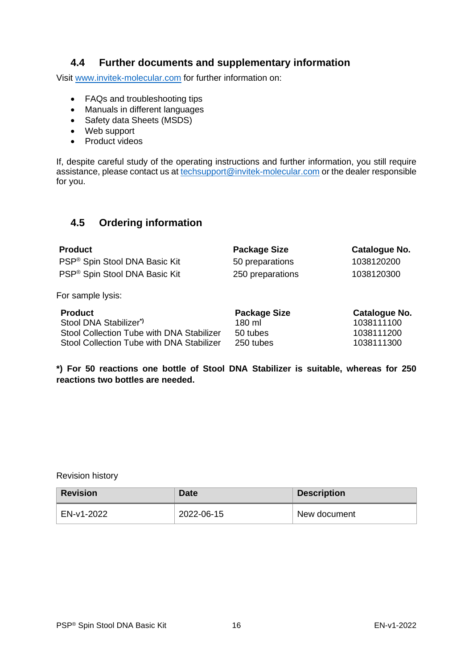# <span id="page-16-0"></span>**4.4 Further documents and supplementary information**

Visit [www.invitek-molecular.com](http://www.invitek-molecular.com/) for further information on:

- FAQs and troubleshooting tips
- Manuals in different languages
- Safety data Sheets (MSDS)
- Web support
- Product videos

If, despite careful study of the operating instructions and further information, you still require assistance, please contact us at [techsupport@invitek-molecular.com](mailto:techsupport@invitek-molecular.com) or the dealer responsible for you.

# <span id="page-16-1"></span>**4.5 Ordering information**

| <b>Product</b>                            | <b>Package Size</b> | Catalogue No. |
|-------------------------------------------|---------------------|---------------|
| PSP <sup>®</sup> Spin Stool DNA Basic Kit | 50 preparations     | 1038120200    |
| PSP <sup>®</sup> Spin Stool DNA Basic Kit | 250 preparations    | 1038120300    |
| For sample lysis:                         |                     |               |
| <b>Product</b>                            | <b>Package Size</b> | Catalogue No. |
| Stool DNA Stabilizer*)                    | 180 ml              | 1038111100    |
| Stool Collection Tube with DNA Stabilizer | 50 tubes            | 1038111200    |
| Stool Collection Tube with DNA Stabilizer | 250 tubes           | 1038111300    |

**\*) For 50 reactions one bottle of Stool DNA Stabilizer is suitable, whereas for 250 reactions two bottles are needed.**

Revision history

| <b>Revision</b> | Date       | <b>Description</b> |
|-----------------|------------|--------------------|
| EN-v1-2022      | 2022-06-15 | New document       |